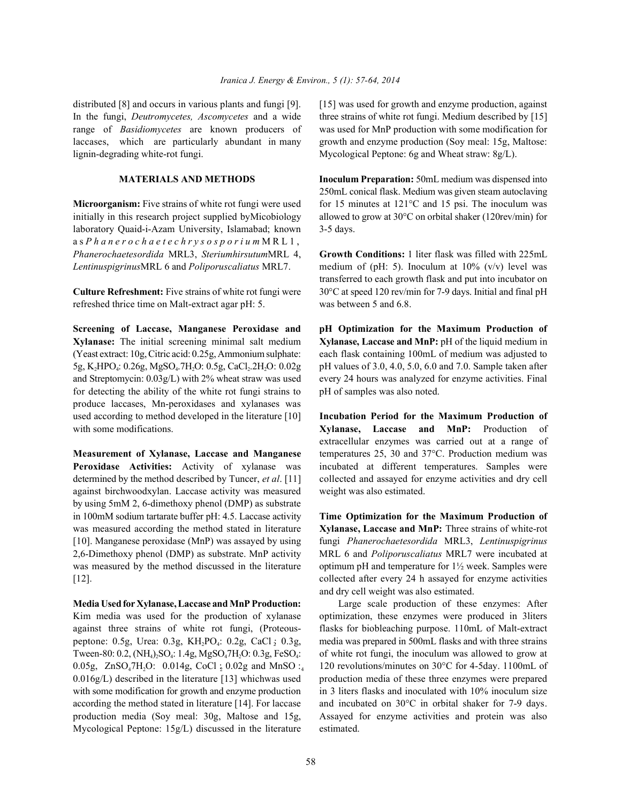### *Iranica J. Energy & Environ., 5 (1): 7; /88, 2014*

occurs in various plants and fungi  $[9]$ . QWKHIXQJLD5] was used for growth and enzyme production, against *Deutromycetes, Ascomycetes* □ and □ a wideUDQJHRIWhree strains of white rot fungi. Medium described by [15] *Basidiomycetes* are known□producers of **ODFFDVHVZ** as used for MnP production with some modification for which are particularly abundant in  $\Box$ manyOLJOLO**L** Thow and enzyme production (Soy meal: 15g, Maltose: degrading white-rot fungi.  $Mycological$  Peptone: 6g and Wheat straw: 8g/L).

initially in this research project supplied byMicobiology allowed to grow at 30°C on orbital shaker (120rev/min) for laboratory Quaid-i-Azam University, Islamabad; known 3-5 days. as*Phanerochaetechrysosporium*□ MRL1, *Phanerochaetesordida* MRL3, *Steriumhirsutum* □MRL □□ **U** owth Conditions: 1 liter flask was filled with 225mL

refreshed thrice time on Malt-extract agar pH: 5. was between 5 and 6.8.

**Xylanase:** The initial screening minimal salt medium **Xylanase, Laccase and MnP:** pH of the liquid medium in (Yeast extract: 10g, Citric acid: 0.25g, Ammonium sulphate: each flask containing 100mL of medium was adjusted to 5g, K,HPO<sub>4</sub>: 0.26g, MgSO<sub>4</sub>.7H,O: 0.5g, CaCl<sub>2</sub>.2H,O: 0.02g pH values of 3.0, 4.0, 5.0, 6.0 and 7.0. Sample taken after and Streptomycin: 0.03g/L) with 2% wheat straw was used every 24 hours was analyzed for enzyme activities. Final for detecting the ability of the white rot fungi strains to pH of samples was also noted. produce laccases, Mn-peroxidases and xylanases was used according to method developed in the literature [10] **Incubation Period for the Maximum Production of** with some modifications. **Xylanase, Laccase and MnP:** Production of

**Peroxidase Activities:** Activity of xylanase was incubated at different temperatures. Samples were determined by the method described by Tuncer, *et al*. [11] collected and assayed for enzyme activities and dry cell against birchwoodxylan. Laccase activity was measured weight was also estimated. by using 5mM 2, 6-dimethoxy phenol (DMP) as substrate in 100mM sodium tartarate buffer pH: 4.5. Laccase activity **Time Optimization for the Maximum Production of** was measured according the method stated in literature **Xylanase, Laccase and MnP:** Three strains of white-rot [10]. Manganese peroxidase (MnP) was assayed by using fungi *Phanerochaetesordida* MRL3, *Lentinuspigrinus* 2,6-Dimethoxy phenol (DMP) as substrate. MnP activity MRL 6 and *Poliporus caliatus* MRL7 were incubated at was measured by the method discussed in the literature optimum pH and temperature for  $1\frac{1}{2}$  week. Samples were [12]. collected after every 24 h assayed for enzyme activities

**Media Used for Xylanase, Laccase and MnP Production:** Large scale production of these enzymes: After Kim media was used for the production of xylanase optimization, these enzymes were produced in 3liters against three strains of white rot fungi, (Proteous- flasks for biobleaching purpose. 110mL of Malt-extract peptone: 0.5g, Urea: 0.3g, KH<sub>2</sub>PO<sub>4</sub>: 0.2g, CaCl  $\frac{1}{2}$  0.3g, media was prepared in 500mL flasks and with three strains Tween-80:  $0.2$ ,  $(NH_4)$ ,  $SO_4$ :  $1.4g$ ,  $MgSO_4$ <sup> $TH_3O$ :  $0.3g$ ,  $FeSO_4$ : of white rot fungi, the inoculum was allowed to grow at</sup> 0.05g, ZnSO<sub>4</sub>7H<sub>2</sub>O: 0.014g, CoCl : 0.02g and MnSO :<sub>4</sub> 120 revolutions/minutes on 30°C for 4-5day. 1100mL of 0.016g/L) described in the literature [13] whichwas used production media of these three enzymes were prepared with some modification for growth and enzyme production in 3 liters flasks and inoculated with 10% inoculum size according the method stated in literature [14]. For laccase and incubated on 30°C in orbital shaker for 7-9 days. production media (Soy meal: 30g, Maltose and 15g, Assayed for enzyme activities and protein was also Mycological Peptone: 15g/L) discussed in the literature estimated.

**MATERIALS AND METHODS Inoculum Preparation:** 50mL medium was dispensed into **Microorganism:** Five strains of white rot fungi were used for 15 minutes at 121<sup>o</sup>C and 15 psi. The inoculum was 250mL conical flask. Medium was given steam autoclaving

*Lentinuspigrinus* MRL 6 an d *Poliporuscaliatus* MRL7. medium of (pH: 5). Inoculum at 10% (v/v) level was **Culture Refreshment:** Five strains of white rot fungi were 30°C at speed 120 rev/min for 7-9 days. Initial and final pH transferred to each growth flask and put into incubator on

**Screening of Laccase, Manganese Peroxidase and pH Optimization for the Maximum Production of**

**Measurement of Xylanase, Laccase and Manganese** temperatures 25, 30 and 37°C. Production medium was extracellular enzymes was carried out at a range of

and dry cell weight was also estimated.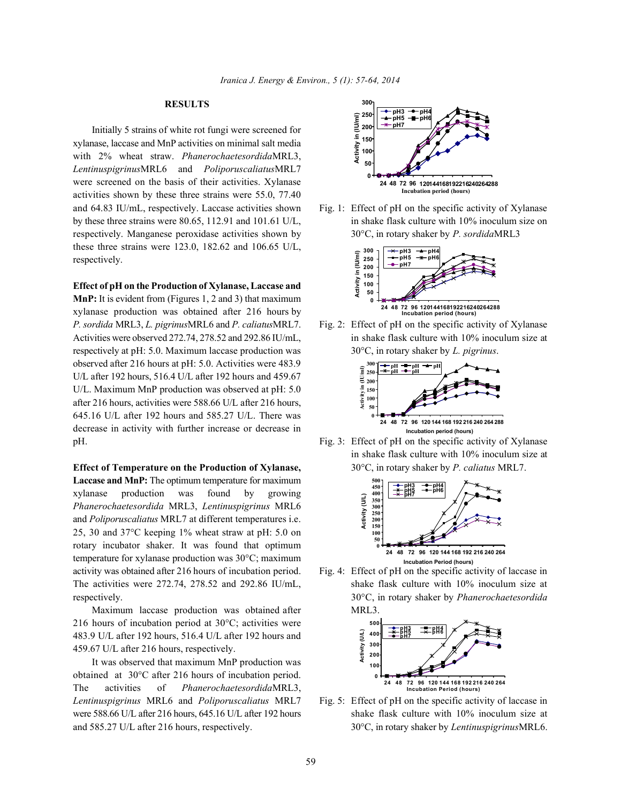### **RESULTS**

Initially 5 strains of white rot fungi were screened for xylanase, laccase and MnP activities on minimal salt media with 2% wheat straw. *Phanerochaete sordida*MRL3, *Lentinus pigrinus*MRL6 and *Poliporus caliatus*MRL7 were screened on the basis of their activities. Xylanase activities shown by these three strains were 55.0, 77.40 and 64.83 IU/mL, respectively. Laccase activities shown Fig. 1: Effect of pH on the specific activity of Xylanase by these three strains were 80.65, 112.91 and 101.61 U/L, in shake flask culture with 10% inoculum size on respectively. Manganese peroxidase activities shown by 30°C, in rotary shaker by *P. sordida* MRL3 these three strains were 123.0, 182.62 and 106.65 U/L, respectively.

**Effect of pH on the Production of Xylanase, Laccase and MnP:** It is evident from (Figures 1, 2 and 3) that maximum xylanase production was obtained after 216 hours by *P. sordida* MRL3, *L. pigrinus* MRL6 and *P. caliatus* MRL7. Fig. 2: Effect of pH on the specific activity of Xylanase Activities were observed 272.74, 278.52 and 292.86 IU/mL, in shake flask culture with 10% inoculum size at respectively at pH: 5.0. Maximum laccase production was 30°C, in rotary shaker by *L. tigrinus*. observed after 216 hours at pH: 5.0. Activities were 483.9 U/L after 192 hours, 516.4 U/L after 192 hours and 459.67 U/L. Maximum MnP production was observed at pH: 5.0 after 216 hours, activities were 588.66 U/L after 216 hours, 645.16 U/L after 192 hours and 585.27 U/L. There was decrease in activity with further increase or decrease in pH. Fig. 3: Effect of pH on the specific activity of Xylanase

**Effect of Temperature on the Production of Xylanase,** 30°C, in rotary shaker by *P. caliatus* MRL7. **Laccase and MnP:** The optimum temperature for maximum xylanase production was found by growing *Phanerochaete sordida* MRL3, *Lentinus pigrinus* MRL6 and *Poliporus caliatus* MRL7 at different temperatures i.e. 25, 30 and 37°C keeping 1% wheat straw at pH: 5.0 on rotary incubator shaker. It was found that optimum temperature for xylanase production was 30°C; maximum activity was obtained after 216 hours of incubation period. Fig. 4: Effect of pH on the specific activity of laccase in The activities were 272.74, 278.52 and 292.86 IU/mL, shake flask culture with 10% inoculum size at respectively. 30°C, in rotary shaker by *Phanerochaete sordida*

Maximum laccase production was obtained after MRL3. 216 hours of incubation period at 30°C; activities were 483.9 U/L after 192 hours, 516.4 U/L after 192 hours and 459.67 U/L after 216 hours, respectively.

It was observed that maximum MnP production was obtained at 30°C after 216 hours of incubation period. The activities of *Phanerochaete sordida* MRL3, *Lentinus pigrinus* MRL6 and *Poliporus caliatus* MRL7 Fig. 5: Effect of pH on the specific activity of laccase in were 588.66 U/L after 216 hours, 645.16 U/L after 192 hours shake flask culture with 10% inoculum size at and 585.27 U/L after 216 hours, respectively. 30°C, in rotary shaker by *Lentinus pigrinus* MRL6.







in shake flask culture with 10% inoculum size at



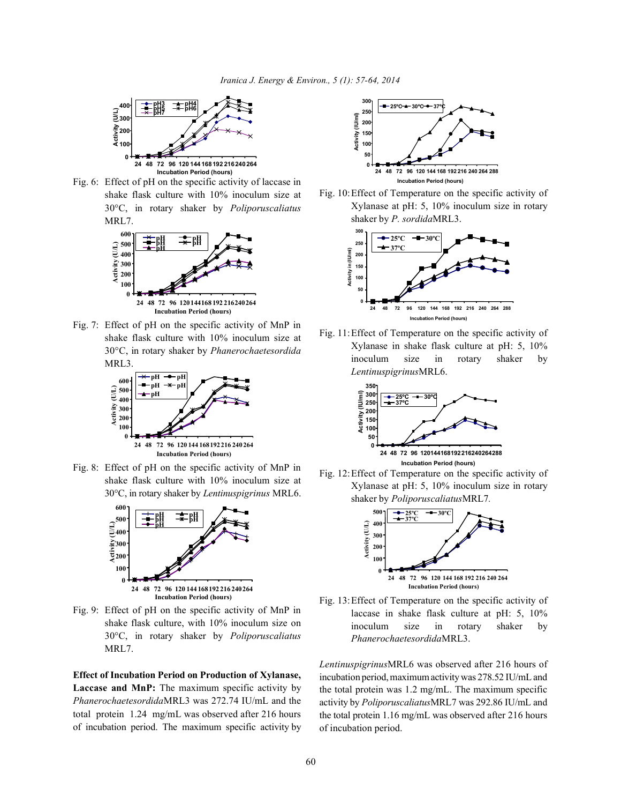

Fig. 6: Effect of pH on the specific activity of laccase in shake flask culture with 10% inoculum size at 30°C, in rotary shaker by *Poliporus caliatus* MRL7.



Fig. 7: Effect of pH on the specific activity of MnP in shake flask culture with 10% inoculum size at 30°C, in rotary shaker by *Phanerochaete sordida* MRL3.



Fig. 8: Effect of pH on the specific activity of MnP in shake flask culture with 10% inoculum size at 30°C, in rotary shaker by *Lentinus pigrinus* MRL6.



Fig. 9: Effect of pH on the specific activity of MnP in shake flask culture, with 10% inoculum size on 30°C, in rotary shaker by *Poliporus caliatus* MRL7.

**Effect of Incubation Period on Production of Xylanase, Laccase and MnP:** The maximum specific activity by *Phanerochaete sordida* MRL3 was 272.74 IU/mL and the total protein 1.24 mg/mL was observed after 216 hours of incubation period. The maximum specific activity by



Fig. 10:Effect of Temperature on the specific activity of Xylanase at pH: 5, 10% inoculum size in rotary shaker by *P. sordida* MRL3.



Fig. 11:Effect of Temperature on the specific activity of Xylanase in shake flask culture at pH: 5, 10% inoculum size in rotary shaker by *Lentinus pigrinus* MRL6.



Fig. 12:Effect of Temperature on the specific activity of Xylanase at pH: 5, 10% inoculum size in rotary shaker by *Poliporus caliatus* MRL7*.*



Fig. 13:Effect of Temperature on the specific activity of laccase in shake flask culture at pH: 5, 10% inoculum size in rotary shaker by *Phanerochaete sordida* MRL3.

*Lentinus pigrinus* MRL6 was observed after 216 hours of incubation period, maximum activity was 278.52 IU/mL and the total protein was 1.2 mg/mL. The maximum specific activity by *Poliporus caliatus* MRL7 was 292.86 IU/mL and the total protein 1.16 mg/mL was observed after 216 hours of incubation period.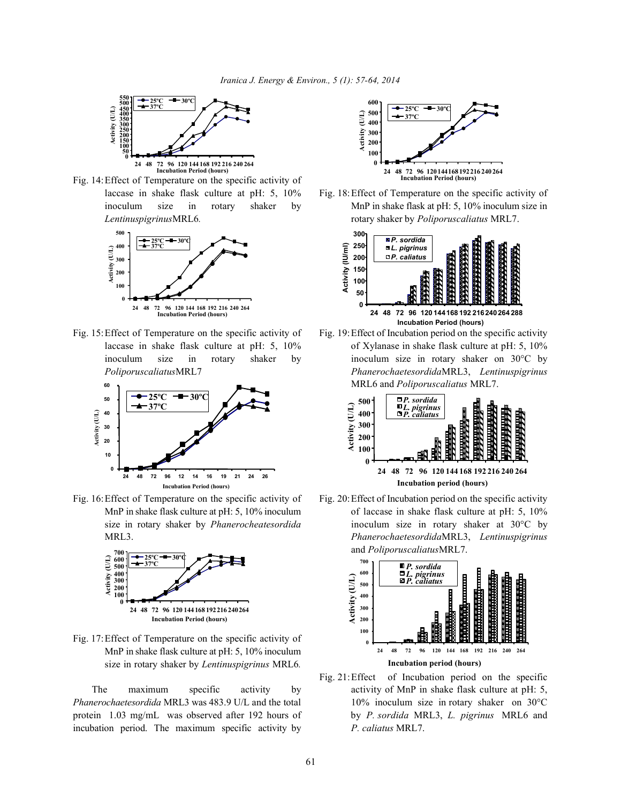

Fig. 14:Effect of Temperature on the specific activity of laccase in shake flask culture at pH: 5, 10% Fig. 18:Effect of Temperature on the specific activity of





Fig. 16: Effect of Temperature on the specific activity of Fig. 20: Effect of Incubation period on the specific activity



Fig. 17:Effect of Temperature on the specific activity of MnP in shake flask culture at pH: 5, 10% inoculum size in rotary shaker by *Lentinus pigrinus* MRL6*.*

*Phanerochaete sordida* MRL3 was 483.9 U/L and the total 10% inoculum size in rotary shaker on 30°C protein 1.03 mg/mL was observed after 192 hours of by *P. sordida* MRL3, *L. tigrinus* MRL6 and incubation period. The maximum specific activity by *P. caliatus* MRL7.



inoculum size in rotary shaker by MnP in shake flask at pH: 5, 10% inoculum size in *Lentinus pigrinus* MRL6*.* rotary shaker by *Poliporus caliatus* MRL7.



Fig. 15: Effect of Temperature on the specific activity of Fig. 19: Effect of Incubation period on the specific activity laccase in shake flask culture at pH: 5, 10% of Xylanase in shake flask culture at pH: 5, 10% inoculum size in rotary shaker by inoculum size in rotary shaker on 30°C by *Poliporus caliatus* MRL7 *Phanerochaete sordida* MRL3, *Lentinus pigrinus* MRL6 and *Poliporus caliatus* MRL7.



MnP in shake flask culture at pH: 5, 10% inoculum of laccase in shake flask culture at pH: 5, 10% size in rotary shaker by *Phanerocheate sordida* inoculum size in rotary shaker at 30°C by MRL3. *Phanerochaete sordida*MRL3, *Lentinus pigrinus* and *Poliporus caliatus* MRL7.



The maximum specific activity by activity of MnP in shake flask culture at pH: 5, Fig. 21:Effect of Incubation period on the specific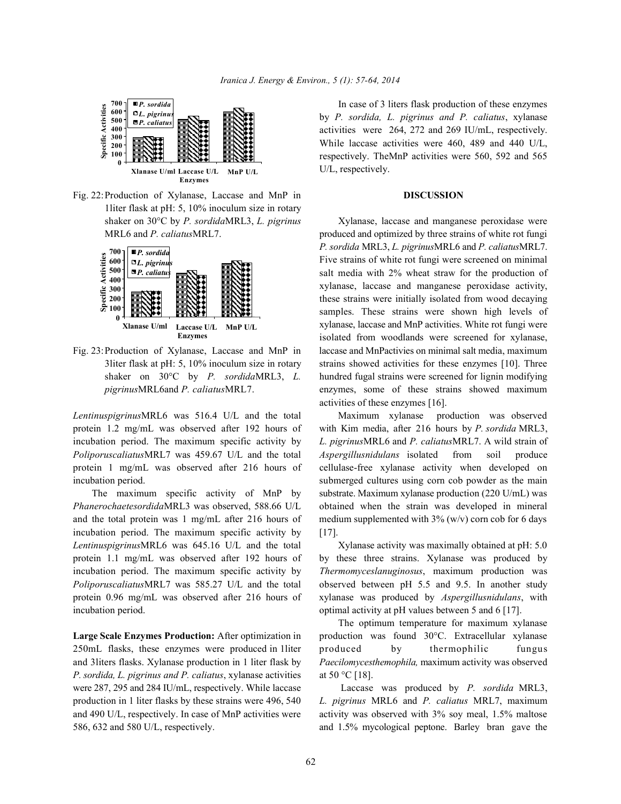

Fig. 22:Production of Xylanase, Laccase and MnP in **DISCUSSION** 1liter flask at pH: 5, 10% inoculum size in rotary shaker on 30°C by *P. sordida* MRL3, *L. tigrinus* Xylanase, laccase and manganese peroxidase were



*Lentinus pigrinus* MRL6 was 516.4 U/L and the total Maximum xylanase production was observed protein 1.2 mg/mL was observed after 192 hours of with Kim media, after 216 hours by *P. sordida* MRL3, protein 1 mg/mL was observed after 216 hours of cellulase-free xylanase activity when developed on

*Phanerochaete sordida* MRL3 was observed, 588.66 U/L obtained when the strain was developed in mineral and the total protein was 1 mg/mL after 216 hours of medium supplemented with  $3\%$  (w/v) corn cob for 6 days incubation period. The maximum specific activity by [17]. *Lentinus pigrinus* MRL6 was 645.16 U/L and the total Xylanase activity was maximally obtained at pH: 5.0 protein 1.1 mg/mL was observed after 192 hours of by these three strains. Xylanase was produced by incubation period. The maximum specific activity by *Thermomyces lanuginosus*, maximum production was *Poliporus caliatus* MRL7 was 585.27 U/L and the total observed between pH 5.5 and 9.5. In another study protein 0.96 mg/mL was observed after 216 hours of xylanase was produced by *Aspergillus nidulans*, with incubation period.  $\blacksquare$  optimal activity at pH values between 5 and 6 [17].

250mL flasks, these enzymes were produced in 1liter produced by thermophilic fungus *P. sordida, L. tigrinus and P. caliatus*, xylanase activities at 50 °C [18]. were 287, 295 and 284 IU/mL, respectively. While laccase Laccase was produced by *P. sordida* MRL3, production in 1 liter flasks by these strains were 496, 540 *L. pigrinus* MRL6 and *P. caliatus* MRL7, maximum and 490 U/L, respectively. In case of MnP activities were activity was observed with 3% soy meal, 1.5% maltose 586, 632 and 580 U/L, respectively. and 1.5% mycological peptone. Barley bran gave the

In case of 3 liters flask production of these enzymes by *P. sordida, L. tigrinus and P. caliatus*, xylanase activities were 264, 272 and 269 IU/mL, respectively. While laccase activities were 460, 489 and 440 U/L, respectively. TheMnP activities were 560, 592 and 565 U/L, respectively.

MRL6 and *P. caliatus* MRL7. produced and optimized by three strains of white rot fungi Fig. 23:Production of Xylanase, Laccase and MnP in laccase and MnPactivies on minimal salt media, maximum 3liter flask at pH: 5, 10% inoculum size in rotary strains showed activities for these enzymes [10]. Three shaker on 30°C by *P. sordida* MRL3, *L.* hundred fugal strains were screened for lignin modifying *tigrinus* MRL6 and *P. caliatus* MRL7. enzymes, some of these strains showed maximum *P. sordida* MRL3, *L. tigrinus* MRL6 and *P. caliatus* MRL7. Five strains of white rot fungi were screened on minimal salt media with 2% wheat straw for the production of xylanase, laccase and manganese peroxidase activity, these strains were initially isolated from wood decaying samples. These strains were shown high levels of xylanase, laccase and MnP activities. White rot fungi were isolated from woodlands were screened for xylanase, activities of these enzymes [16].

incubation period. The maximum specific activity by *L. tigrinus* MRL6 and *P. caliatus* MRL7. A wild strain of *Poliporus caliatus* MRL7 was 459.67 U/L and the total *Aspergillus nidulans* isolated from soil produce incubation period. Submerged cultures using corn cob powder as the main The maximum specific activity of MnP by substrate. Maximum xylanase production (220 U/mL) was

**Large Scale Enzymes Production:** After optimization in production was found 30°C. Extracellular xylanase and 3liters flasks. Xylanase production in 1 liter flask by *Paecilomyces themophila,* maximum activity was observed The optimum temperature for maximum xylanase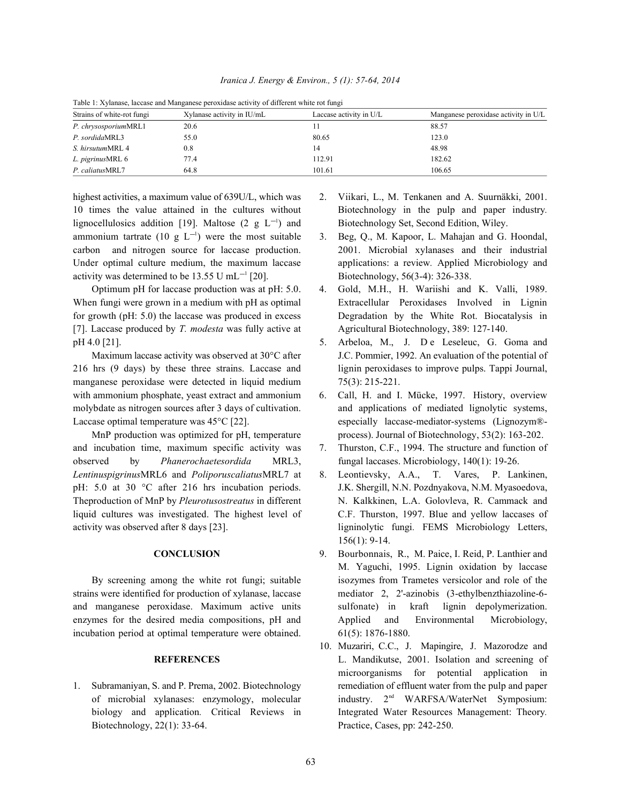| Table 1: Xylanase, laccase and Manganese peroxidase activity of different white rot fungi |                            |                         |                                      |
|-------------------------------------------------------------------------------------------|----------------------------|-------------------------|--------------------------------------|
| Strains of white-rot fungi                                                                | Xylanase activity in IU/mL | Laccase activity in U/L | Manganese peroxidase activity in U/L |
| P. chrysosporium MRL1                                                                     | 20.6                       |                         | 88.57                                |
| P. sordida MRL3                                                                           | 55.0                       | 80.65                   | 123.0                                |
| S. hirsutum MRL 4                                                                         | 0.8                        | 14                      | 48.98                                |
| L. tigrinus MRL 6                                                                         | 77.4                       | 112.91                  | 182.62                               |
| P. caliatus MRL7                                                                          | 64.8                       | 101.61                  | 106.65                               |

*Iranica J. Energy & Environ., 5 (1): 7; /88, 2014* 

highest activities, a maximum value of 639U/L, which was 2. Viikari, L., M. Tenkanen and A. Suurnäkki, 2001. 10 times the value attained in the cultures without Biotechnology in the pulp and paper industry*.* lignocellulosics addition [19]. Maltose  $(2 \text{ g } L^{-1})$  and Biotechnology Set, Second Edition, Wiley. ammonium tartrate (10 g  $L^{-1}$ ) were the most suitable 3. Beg, Q., M. Kapoor, L. Mahajan and G. Hoondal, carbon and nitrogen source for laccase production. 2001. Microbial xylanases and their industrial Under optimal culture medium, the maximum laccase applications: a review*.* Applied Microbiology and activity was determined to be 13.55 U mL<sup>-1</sup> [20]. Biotechnology, 56(3-4): 326-338.

When fungi were grown in a medium with pH as optimal Extracellular Peroxidases Involved in Lignin [7]. Laccase produced by *T. modesta* was fully active at Agricultural Biotechnology, 389: 127-140. pH 4.0 [21]. 6. 6. 6. 6. 5. 5. 5. Arbeloa, M., J. D e Leseleuc, G. Goma and

216 hrs (9 days) by these three strains. Laccase and lignin peroxidases to improve pulps. Tappi Journal, manganese peroxidase were detected in liquid medium 75(3): 215-221. with ammonium phosphate, yeast extract and ammonium 6. Call, H. and I. Mücke, 1997. History, overview molybdate as nitrogen sources after 3 days of cultivation. and applications of mediated lignolytic systems, Laccase optimal temperature was  $45^{\circ}C$  [22]. especially laccase-mediator-systems (Lignozym®-

and incubation time, maximum specific activity was 7. Thurston, C.F., 1994. The structure and function of observed by *Phanerochaete sordida* MRL3, fungal laccases. Microbiology, 140(1): 19-26. *Lentinus pigrinus* MRL6 and *Poliporus caliatus* MRL7 at 8. Leontievsky, A.A., T. Vares, P. Lankinen, pH: 5.0 at 30 °C after 216 hrs incubation periods. J.K. Shergill, N.N. Pozdnyakova, N.M. Myasoedova, Theproduction of MnP by *Pleurotus ostreatus* in different N. Kalkkinen, L.A. Golovleva, R. Cammack and liquid cultures was investigated. The highest level of C.F. Thurston, 1997. Blue and yellow laccases of activity was observed after 8 days [23]. ligninolytic fungi. FEMS Microbiology Letters,

strains were identified for production of xylanase, laccase mediator 2, 2'-azinobis (3-ethylbenzthiazoline-6 and manganese peroxidase. Maximum active units sulfonate) in kraft lignin depolymerization. enzymes for the desired media compositions, pH and Applied and Environmental Microbiology, incubation period at optimal temperature were obtained. 61(5): 1876-1880.

Biotechnology, 22(1): 33-64. Practice, Cases, pp: 242-250.

- 
- 
- Optimum pH for laccase production was at pH: 5.0. 4. Gold, M.H., H. Wariishi and K. Valli, 1989. for growth (pH: 5.0) the laccase was produced in excess Degradation by the White Rot. Biocatalysis in
	- Maximum laccase activity was observed at 30°C after J.C. Pommier, 1992. An evaluation of the potential of
	- MnP production was optimized for pH, temperature process). Journal of Biotechnology, 53(2): 163-202.
		-
		- 156(1): 9-14.
	- **CONCLUSION** 9. Bourbonnais, R., M. Paice, I. Reid, P. Lanthier and By screening among the white rot fungi; suitable isozymes from Trametes versicolor and role of the M. Yaguchi, 1995. Lignin oxidation by laccase
- **REFERENCES** L. Mandikutse, 2001. Isolation and screening of 1. Subramaniyan, S. and P. Prema, 2002. Biotechnology remediation of effluent water from the pulp and paper of microbial xylanases: enzymology, molecular industry. 2<sup>nd</sup> WARFSA/WaterNet Symposium: biology and application*.* Critical Reviews in Integrated Water Resources Management: Theory*.* 10. Muzariri, C.C., J. Mapingire, J. Mazorodze and microorganisms for potential application in